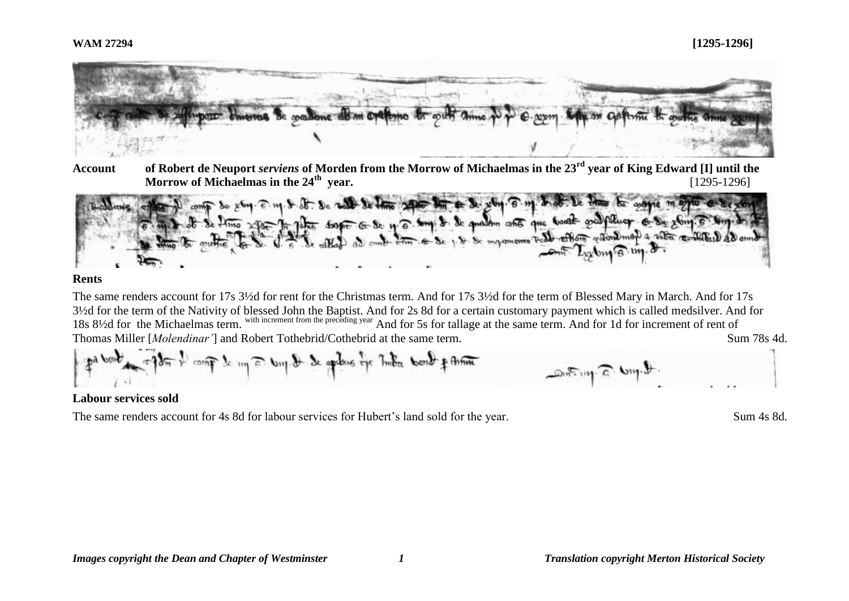

**Account of Robert de Neuport** *serviens* **of Morden from the Morrow of Michaelmas in the 23rd year of King Edward [I] until the Morrow of Michaelmas in the 24th year.** [1295-1296]



## **Rents**

The same renders account for 17s 3½d for rent for the Christmas term. And for 17s 3½d for the term of Blessed Mary in March. And for 17s 3½d for the term of the Nativity of blessed John the Baptist. And for 2s 8d for a certain customary payment which is called medsilver. And for 18s 8½d for the Michaelmas term. with increment from the preceding year And for 5s for tallage at the same term. And for 1d for increment of rent of Thomas Miller [*Molendinar'*] and Robert Tothebrid/Cothebrid at the same term. Sum 78s 4d.

$$
\oint_{\mathbb{R}^d} \int_{\mathbb{R}^d} \int_{\mathbb{R}^d} \int_{\mathbb{R}^d} \int_{\mathbb{R}^d} \int_{\mathbb{R}^d} \int_{\mathbb{R}^d} \int_{\mathbb{R}^d} \int_{\mathbb{R}^d} \int_{\mathbb{R}^d} \int_{\mathbb{R}^d} \int_{\mathbb{R}^d} \int_{\mathbb{R}^d} \int_{\mathbb{R}^d} \int_{\mathbb{R}^d} \int_{\mathbb{R}^d} \int_{\mathbb{R}^d} \int_{\mathbb{R}^d} \int_{\mathbb{R}^d} \int_{\mathbb{R}^d} \int_{\mathbb{R}^d} \int_{\mathbb{R}^d} \int_{\mathbb{R}^d} \int_{\mathbb{R}^d} \int_{\mathbb{R}^d} \int_{\mathbb{R}^d} \int_{\mathbb{R}^d} \int_{\mathbb{R}^d} \int_{\mathbb{R}^d} \int_{\mathbb{R}^d} \int_{\mathbb{R}^d} \int_{\mathbb{R}^d} \int_{\mathbb{R}^d} \int_{\mathbb{R}^d} \int_{\mathbb{R}^d} \int_{\mathbb{R}^d} \int_{\mathbb{R}^d} \int_{\mathbb{R}^d} \int_{\mathbb{R}^d} \int_{\mathbb{R}^d} \int_{\mathbb{R}^d} \int_{\mathbb{R}^d} \int_{\mathbb{R}^d} \int_{\mathbb{R}^d} \int_{\mathbb{R}^d} \int_{\mathbb{R}^d} \int_{\mathbb{R}^d} \int_{\mathbb{R}^d} \int_{\mathbb{R}^d} \int_{\mathbb{R}^d} \int_{\mathbb{R}^d} \int_{\mathbb{R}^d} \int_{\mathbb{R}^d} \int_{\mathbb{R}^d} \int_{\mathbb{R}^d} \int_{\mathbb{R}^d} \int_{\mathbb{R}^d} \int_{\mathbb{R}^d} \int_{\mathbb{R}^d} \int_{\mathbb{R}^d} \int_{\mathbb{R}^d} \int_{\mathbb{R}^d} \int_{\mathbb{R}^d} \int_{\
$$

## **Labour services sold**

The same renders account for 4s 8d for labour services for Hubert's land sold for the year. Sum 4s 8d.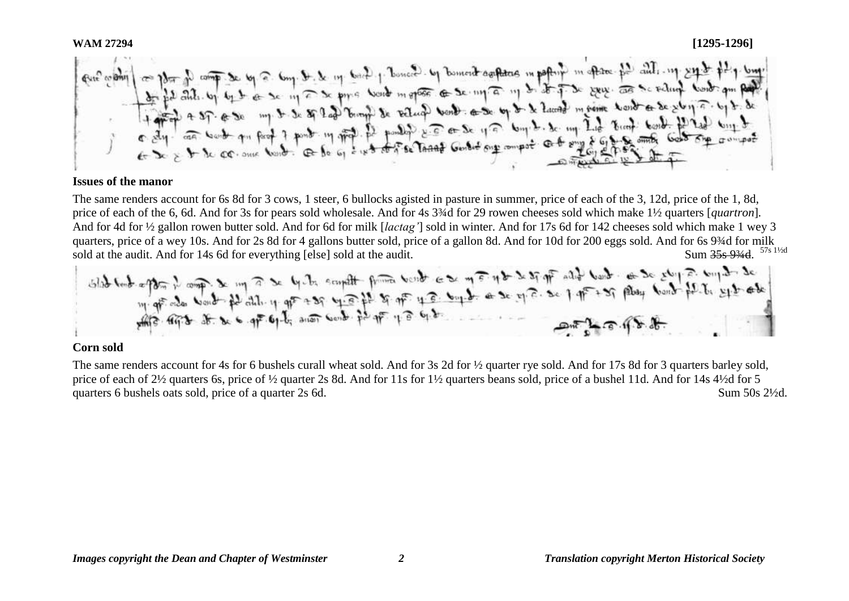#### **Issues of the manor**

The same renders account for 6s 8d for 3 cows, 1 steer, 6 bullocks agisted in pasture in summer, price of each of the 3, 12d, price of the 1, 8d, price of each of the 6, 6d. And for 3s for pears sold wholesale. And for 4s 3¾d for 29 rowen cheeses sold which make 1½ quarters [*quartron*]*.* And for 4d for ½ gallon rowen butter sold. And for 6d for milk [*lactag'*] sold in winter. And for 17s 6d for 142 cheeses sold which make 1 wey 3 quarters, price of a wey 10s. And for 2s 8d for 4 gallons butter sold, price of a gallon 8d. And for 10d for 200 eggs sold. And for 6s 9¾d for milk Sum 35s 93/4d. 57s 11/2d

sold at the audit. And for 14s 6d for everything [else] sold at the audit.<br>Slab to be spon in comp in m a se by  $\frac{1}{2}$  ecouplife from book es m a not expect of the set of all book as se story as bond in the set of the s

#### **Corn sold**

The same renders account for 4s for 6 bushels curall wheat sold. And for 3s 2d for  $\frac{1}{2}$  quarter rye sold. And for 17s 8d for 3 quarters barley sold, price of each of 2½ quarters 6s, price of ½ quarter 2s 8d. And for 11s for 1½ quarters beans sold, price of a bushel 11d. And for 14s 4½d for 5 quarters 6 bushels oats sold, price of a quarter 2s 6d. Sum 50s 2<sup>1/2</sup>d.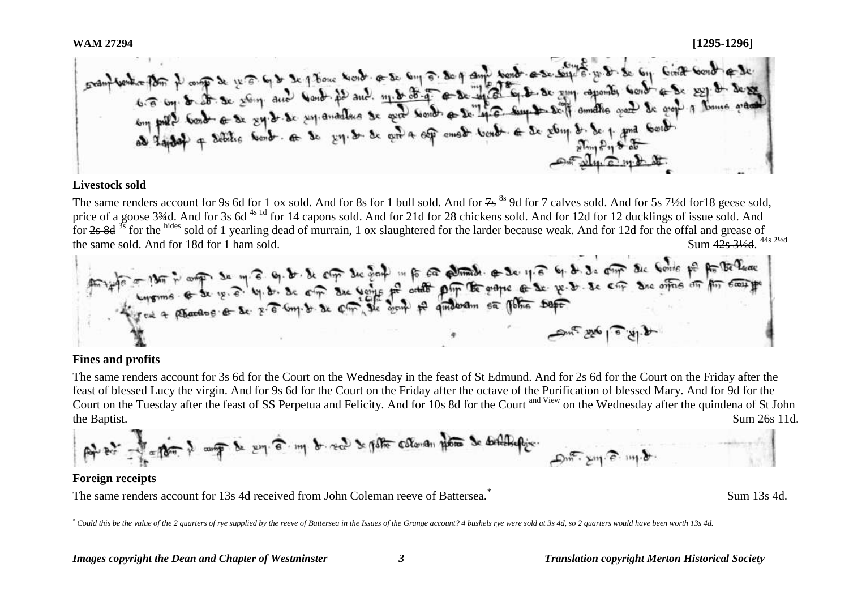WAM 27294<br> **Examples then** it compone were to be a 1 flower took of so the second of sund took a security of were so top Give took of second of second<br>
can be a component second and word it and my both a second word as wil

## **Livestock sold**

The same renders account for 9s 6d for 1 ox sold. And for 8s for 1 bull sold. And for  $7s^{8s}$  9d for 7 calves sold. And for 5s 7½d for 18 geese sold, price of a goose 3¼d. And for 3s 6d<sup>4s 1d</sup> for 14 capons sold. And for 21d for 28 chickens sold. And for 12d for 12 ducklings of issue sold. And for 2s 8d <sup>3s</sup> for the hides sold of 1 yearling dead of murrain, 1 ox slaughtered for the larder because weak. And for 12d for the offal and grease of the same sold. And for 18d for 1 ham sold. Sum 42s 31/2d 44s 21/2d

to the company of the set of the company of the company of the set of the set of the set of the company of the the develope of the company of the company of the company of the company of the company of the company of the c  $4.14$   $-2.04$   $-3.14$ 

## **Fines and profits**

The same renders account for 3s 6d for the Court on the Wednesday in the feast of St Edmund. And for 2s 6d for the Court on the Friday after the feast of blessed Lucy the virgin. And for 9s 6d for the Court on the Friday after the octave of the Purification of blessed Mary. And for 9d for the Court on the Tuesday after the feast of SS Perpetua and Felicity. And for 10s 8d for the Court <sup>and View</sup> on the Wednesday after the quindena of St John the Baptist. Sum 26s 11d.

## **Foreign receipts**

The same renders account for 13s 4d received from John Coleman reeve of Battersea.\*

Sum 13s 4d.

 $\overline{a}$ *\* Could this be the value of the 2 quarters of rye supplied by the reeve of Battersea in the Issues of the Grange account? 4 bushels rye were sold at 3s 4d, so 2 quarters would have been worth 13s 4d.*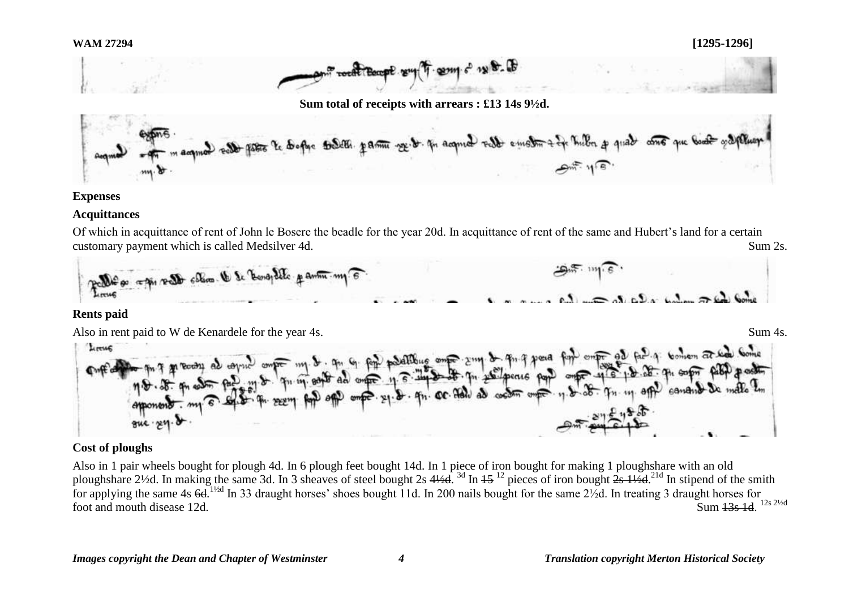

#### **Expenses**

## **Acquittances**

Of which in acquittance of rent of John le Bosere the beadle for the year 20d. In acquittance of rent of the same and Hubert's land for a certain customary payment which is called Medsilver 4d. Sum 2s. Sum 2s.



#### **Rents paid**

Also in rent paid to W de Kenardele for the year 4s. Sum 4s.



## **Cost of ploughs**

Also in 1 pair wheels bought for plough 4d. In 6 plough feet bought 14d. In 1 piece of iron bought for making 1 ploughshare with an old ploughshare 2½d. In making the same 3d. In 3 sheaves of steel bought 2s  $4\frac{1}{4}$  and  $15^{12}$  pieces of iron bought  $\frac{2}{5}$   $\frac{1}{2}$ d.  $\frac{2}{10}$  In stipend of the smith for applying the same 4s  $6d$ . <sup>11/2d</sup> In 33 draught horses' shoes bought 11d. In 200 nails bought for the same 2<sup>1</sup>/2d. In treating 3 draught horses for foot and mouth disease  $12d$ . Sum 13s 1d. 12s 21/2d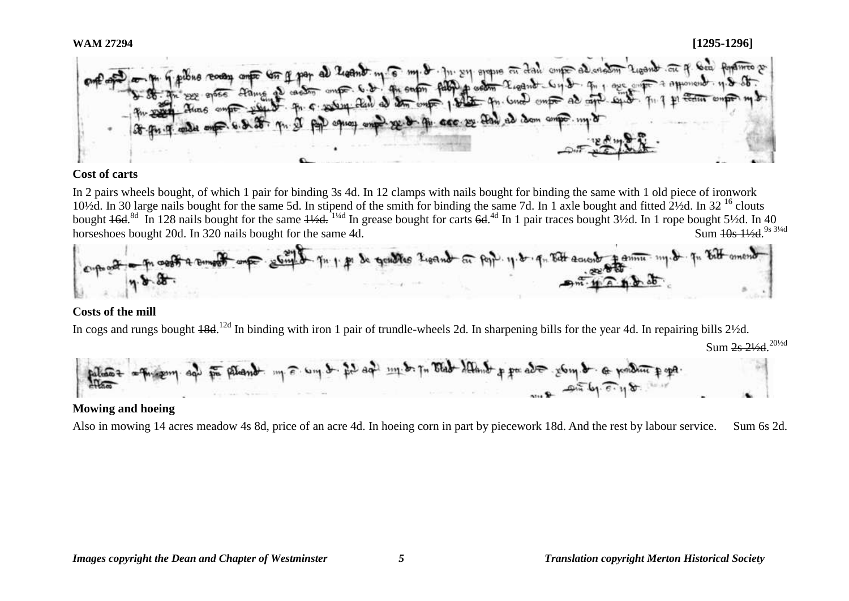

# **Cost of carts**

In 2 pairs wheels bought, of which 1 pair for binding 3s 4d. In 12 clamps with nails bought for binding the same with 1 old piece of ironwork 10½d. In 30 large nails bought for the same 5d. In stipend of the smith for binding the same 7d. In 1 axle bought and fitted 2½d. In 32 <sup>16</sup> clouts bought 46d.<sup>8d</sup> In 128 nails bought for the same 4½d. <sup>1¼d</sup> In grease bought for carts 6d.<sup>4d</sup> In 1 pair traces bought 3½d. In 1 rope bought 5½d. In 40 horseshoes bought 20d. In 320 nails bought for the same 4d. Sum 10s 11/2d. 9s 31/4d



# **Costs of the mill**

In cogs and rungs bought 48d.<sup>12d</sup> In binding with iron 1 pair of trundle-wheels 2d. In sharpening bills for the year 4d. In repairing bills 2½d.



# **Mowing and hoeing**

Also in mowing 14 acres meadow 4s 8d, price of an acre 4d. In hoeing corn in part by piecework 18d. And the rest by labour service. Sum 6s 2d.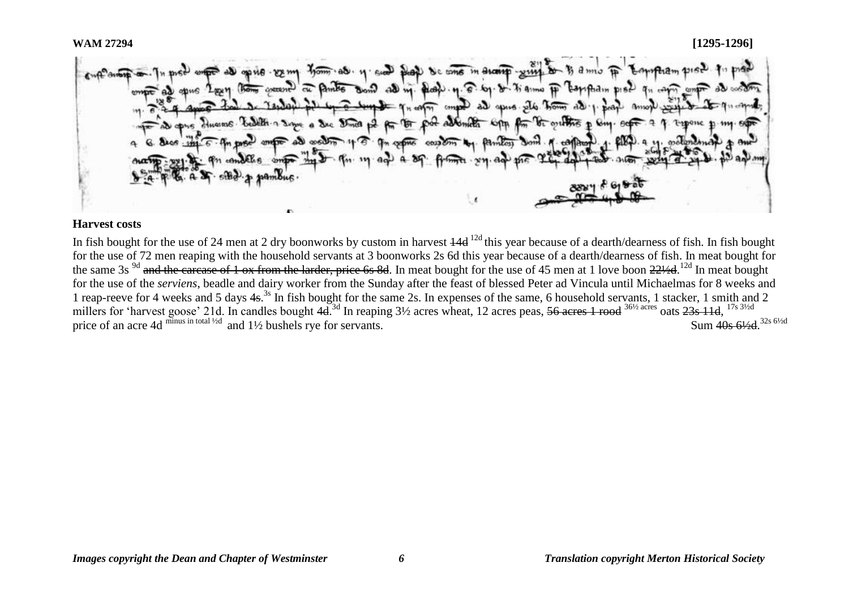$\mathcal{L}_{\text{max}}$ Sai No tons Bond all m. dato. n. 8. by. d. 7 anni FF home warent of Paints mod whe sum to Game man in Amont bedelt a same a sic street of the food admits com for be outlined **Bongui OVERAS** contem to familiar

## **Harvest costs**

In fish bought for the use of 24 men at 2 dry boonworks by custom in harvest  $\frac{14d}{12d}$  this year because of a dearth/dearness of fish. In fish bought for the use of 72 men reaping with the household servants at 3 boonworks 2s 6d this year because of a dearth/dearness of fish. In meat bought for the same 3s <sup>9d</sup> and the carcase of 1 ox from the larder, price 6s 8d. In meat bought for the use of 45 men at 1 love boon 221⁄2d.<sup>12d</sup> In meat bought for the use of the *serviens*, beadle and dairy worker from the Sunday after the feast of blessed Peter ad Vincula until Michaelmas for 8 weeks and 1 reap-reeve for 4 weeks and 5 days 4s.<sup>3s</sup> In fish bought for the same 2s. In expenses of the same, 6 household servants, 1 stacker, 1 smith and 2 millers for 'harvest goose' 21d. In candles bought 4d.<sup>3d</sup> In reaping 3½ acres wheat, 12 acres peas, <del>56 acres 1 rood</del> <sup>36½ acres</sup> oats 23s 11d, <sup>17s 3½d</sup> price of an acre 4d minus in total <sup>1/2d</sup> and  $1\frac{1}{2}$  bushels rye for servants. Sum 40s 61/<sub>2</sub>d 32s 6<sup>1/2d</sup>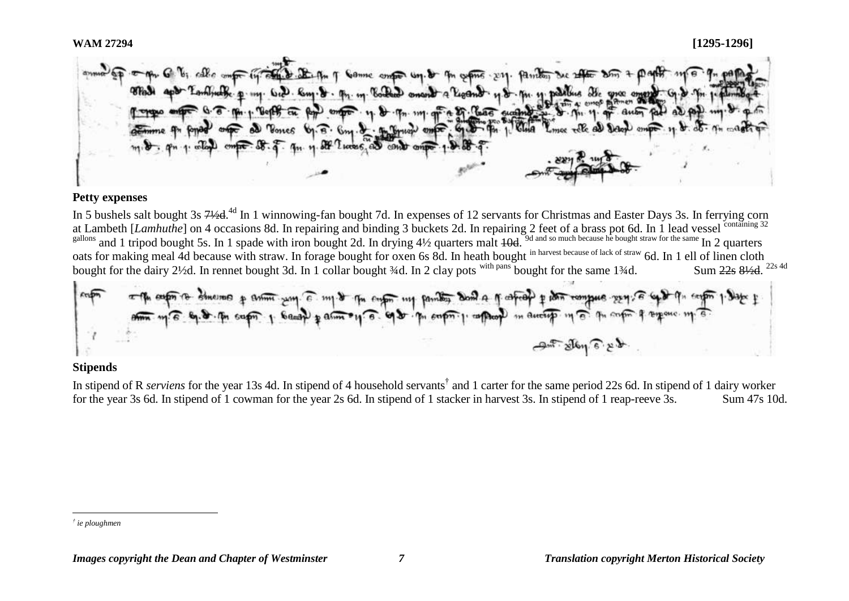#### **WAM 27294 [1295-1296]**

Canne contact Un. Burton  $O(6m6 \cdot 1211)$ 48 . M. 4 palling  $...$  6.2.  $km$ a 27 Chas suam

#### **Petty expenses**

In 5 bushels salt bought 3s 71/2d.<sup>4d</sup> In 1 winnowing-fan bought 7d. In expenses of 12 servants for Christmas and Easter Days 3s. In ferrying corn at Lambeth [*Lamhuthe*] on 4 occasions 8d. In repairing and binding 3 buckets 2d. In repairing 2 feet of a brass pot 6d. In 1 lead vessel containing 32<br>gallons and 1 tripod bought 5s. In 1 spade with iron bought 2d. In dry gallons and 1 tripod bought 5s. In 1 spade with iron bought 2d. In drying 4½ quarters malt 10d. <sup>9d and so much because he bought straw for the same</sup> In 2 quarters oats for making meal 4d because with straw. In forage bought for oxen 6s 8d. In heath bought in harvest because of lack of straw 6d. In 1 ell of linen cloth bought for the dairy 2½d. In rennet bought 3d. In 1 collar bought  $\frac{3}{4}$ d. In 2 clay pots with pans bought for the same 1 $\frac{3}{4}$ d. Sum 22s 81/2d. <sup>22s 4d</sup>



#### **Stipends**

In stipend of R *serviens* for the year 13s 4d. In stipend of 4 household servants<sup>†</sup> and 1 carter for the same period 22s 6d. In stipend of 1 dairy worker for the year 3s 6d. In stipend of 1 cowman for the year 2s 6d. In stipend of 1 stacker in harvest 3s. In stipend of 1 reap-reeve 3s. Sum 47s 10d.

 $\overline{a}$ 

*<sup>†</sup> ie ploughmen*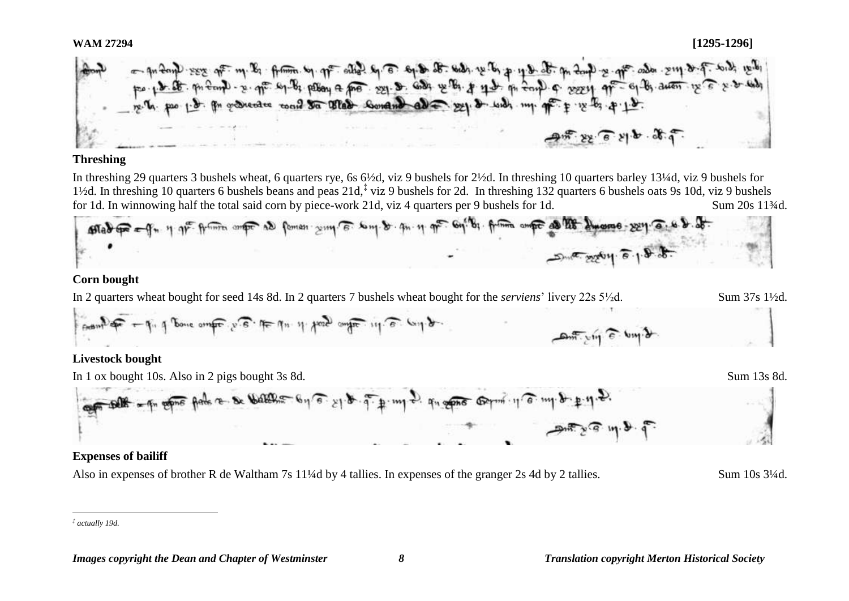- quény res qui m. la france de que alles la 6 eque de mar re la p que de que se que ada suppres de la de re d<br>por por de même re que es la passa a pro segue de la de que p que en condi a sesse que es de auen re é se a ma<br>  $22 - 6 - 11 - 06 - 9$ 

#### **Threshing**

In threshing 29 quarters 3 bushels wheat, 6 quarters rye, 6s 6½d, viz 9 bushels for 2½d. In threshing 10 quarters barley 13¼d, viz 9 bushels for 1<sup>1</sup>/2d. In threshing 10 quarters 6 bushels beans and peas 21d,<sup>‡</sup> viz 9 bushels for 2d. In threshing 132 quarters 6 bushels oats 9s 10d, viz 9 bushels for 1d. In winnowing half the total said corn by piece-work 21d, viz 4 quarters per 9 bushels for 1d. Sum 20s 11¼d.



#### **Corn bought**

In 2 quarters wheat bought for seed 14s 8d. In 2 quarters 7 bushels wheat bought for the *serviens*' livery 22s 5½d. Sum 37s 1½d.



# **Livestock bought**



# **Expenses of bailiff**

Also in expenses of brother R de Waltham 7s 11¼d by 4 tallies. In expenses of the granger 2s 4d by 2 tallies. Sum 10s 3¼d.

 $\overline{a}$ *‡ actually 19d.*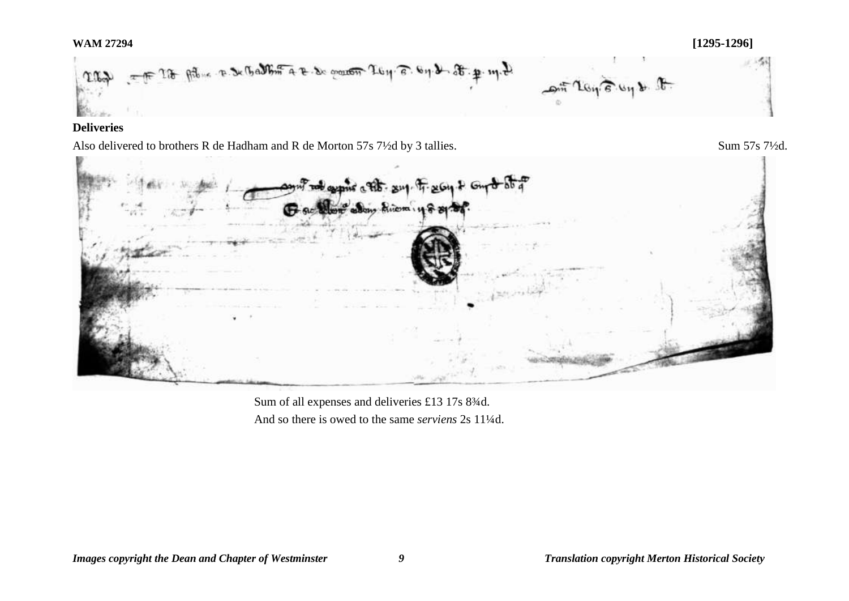## **WAM 27294 [1295-1296]**



# **Deliveries**

Also delivered to brothers R de Hadham and R de Morton 57s 7½d by 3 tallies. Sum 57s 7½d.



Sum of all expenses and deliveries £13 17s 8¾d. And so there is owed to the same *serviens* 2s 11¼d.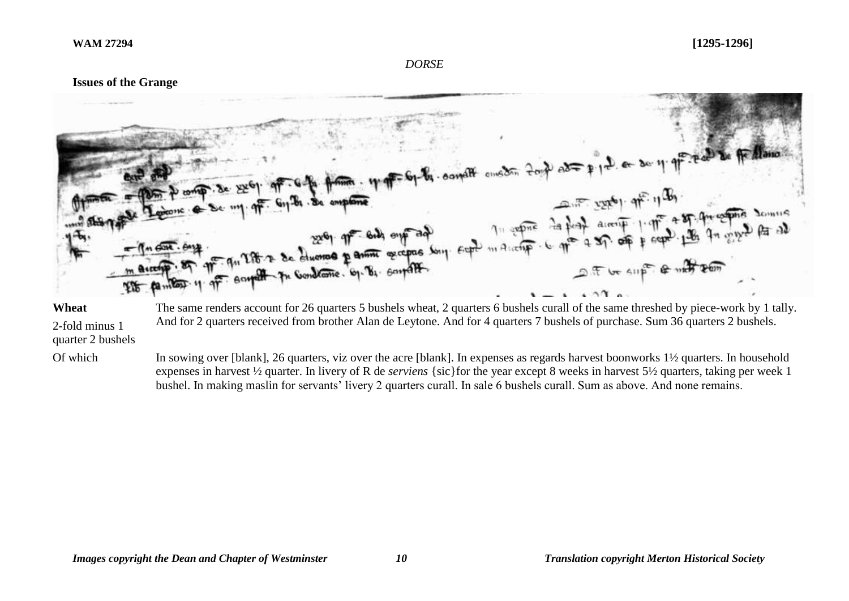#### *DORSE*

## **Issues of the Grange**



#### **Wheat**

2-fold minus 1 And for 2 quarters received from brother Alan de Leytone. And for 4 quarters 7 bushels of purchase. Sum 36 quarters 2 bushels.

quarter 2 bushels

Of which In sowing over [blank], 26 quarters, viz over the acre [blank]. In expenses as regards harvest boonworks  $1\frac{1}{2}$  quarters. In household expenses in harvest ½ quarter. In livery of R de *serviens* {sic}for the year except 8 weeks in harvest 5½ quarters, taking per week 1 bushel. In making maslin for servants' livery 2 quarters curall. In sale 6 bushels curall. Sum as above. And none remains.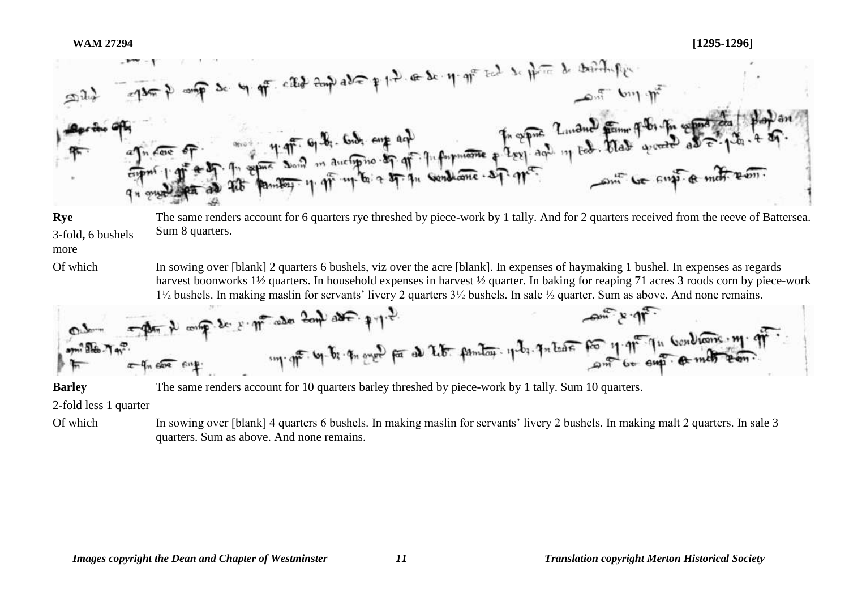

**Rye** 3-fold**,** 6 bushels more The same renders account for 6 quarters rye threshed by piece-work by 1 tally. And for 2 quarters received from the reeve of Battersea. Sum 8 quarters.

Of which In sowing over [blank] 2 quarters 6 bushels, viz over the acre [blank]. In expenses of haymaking 1 bushel. In expenses as regards harvest boonworks 1½ quarters. In household expenses in harvest ½ quarter. In baking for reaping 71 acres 3 roods corn by piece-work 1½ bushels. In making maslin for servants' livery 2 quarters 3½ bushels. In sale ½ quarter. Sum as above. And none remains.



**Barley** The same renders account for 10 quarters barley threshed by piece-work by 1 tally. Sum 10 quarters.

2-fold less 1 quarter

Of which In sowing over [blank] 4 quarters 6 bushels. In making maslin for servants' livery 2 bushels. In making malt 2 quarters. In sale 3 quarters. Sum as above. And none remains.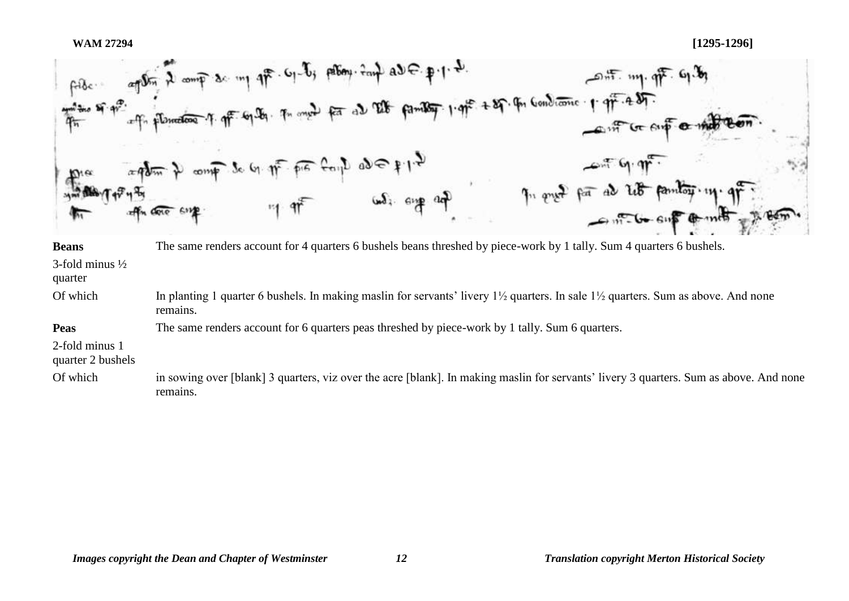

Of which In planting 1 quarter 6 bushels. In making maslin for servants' livery  $1\frac{1}{2}$  quarters. In sale  $1\frac{1}{2}$  quarters. Sum as above. And none remains.

The same renders account for 6 quarters peas threshed by piece-work by 1 tally. Sum 6 quarters.

2-fold minus 1

**Peas**

quarter 2 bushels

Of which in sowing over [blank] 3 quarters, viz over the acre [blank]. In making maslin for servants' livery 3 quarters. Sum as above. And none remains.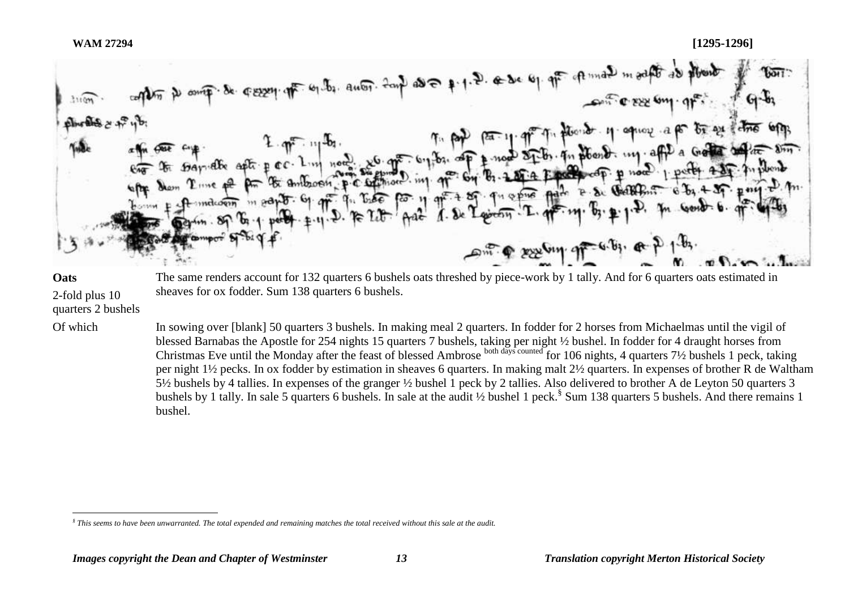



The same renders account for 132 quarters 6 bushels oats threshed by piece-work by 1 tally. And for 6 quarters oats estimated in sheaves for ox fodder. Sum 138 quarters 6 bushels.

 $\overline{a}$ 

2-fold plus 10 quarters 2 bushels

Of which In sowing over [blank] 50 quarters 3 bushels. In making meal 2 quarters. In fodder for 2 horses from Michaelmas until the vigil of blessed Barnabas the Apostle for 254 nights 15 quarters 7 bushels, taking per night ½ bushel. In fodder for 4 draught horses from Christmas Eve until the Monday after the feast of blessed Ambrose both days counted for 106 nights, 4 quarters 7½ bushels 1 peck, taking per night 1½ pecks. In ox fodder by estimation in sheaves 6 quarters. In making malt 2½ quarters. In expenses of brother R de Waltham 5½ bushels by 4 tallies. In expenses of the granger ½ bushel 1 peck by 2 tallies. Also delivered to brother A de Leyton 50 quarters 3 bushels by 1 tally. In sale 5 quarters 6 bushels. In sale at the audit 1/2 bushel 1 peck.<sup>§</sup> Sum 138 quarters 5 bushels. And there remains 1 bushel.

*<sup>§</sup> This seems to have been unwarranted. The total expended and remaining matches the total received without this sale at the audit.*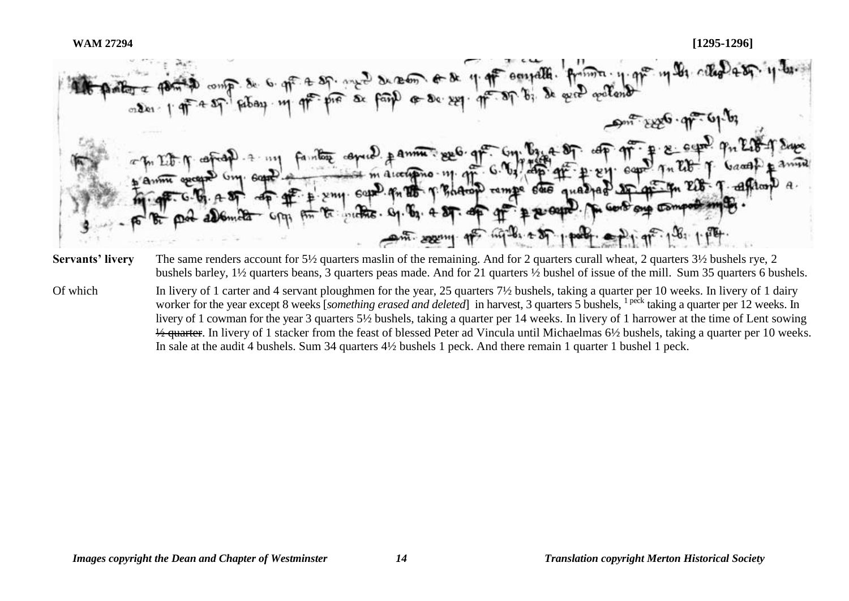$+ 27.$  and decome of the  $4.47$  soupella.  $6 - 80 - 201 - 97 - 87$  $em(2)$   $#$   $Amm$   $%$   $%$   $q$ Book campe **Remetters** Gy. am. seem 1  $-64.29$ 

**Servants' livery** The same renders account for 5½ quarters maslin of the remaining. And for 2 quarters curall wheat, 2 quarters 3½ bushels rye, 2 bushels barley, 1½ quarters beans, 3 quarters peas made. And for 21 quarters ½ bushel of issue of the mill. Sum 35 quarters 6 bushels.

Of which In livery of 1 carter and 4 servant ploughmen for the year, 25 quarters 7½ bushels, taking a quarter per 10 weeks. In livery of 1 dairy worker for the year except 8 weeks [*something erased and deleted*] in harvest, 3 quarters 5 bushels, <sup>1 peck</sup> taking a quarter per 12 weeks. In livery of 1 cowman for the year 3 quarters 5½ bushels, taking a quarter per 14 weeks. In livery of 1 harrower at the time of Lent sowing  $\frac{1}{2}$  quarter. In livery of 1 stacker from the feast of blessed Peter ad Vincula until Michaelmas 6½ bushels, taking a quarter per 10 weeks. In sale at the audit 4 bushels. Sum 34 quarters 4½ bushels 1 peck. And there remain 1 quarter 1 bushel 1 peck.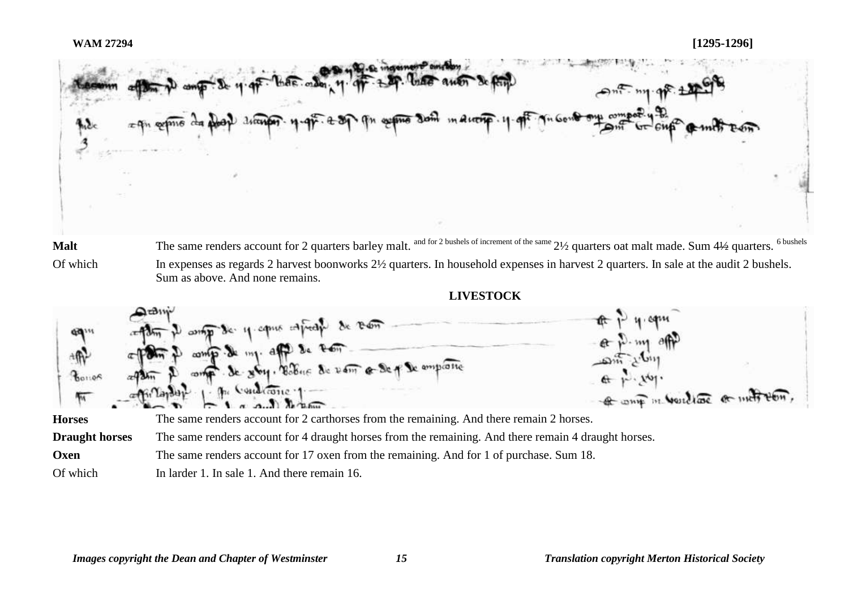

Of which In expenses as regards 2 harvest boonworks  $2\frac{1}{2}$  quarters. In household expenses in harvest 2 quarters. In sale at the audit 2 bushels. Sum as above. And none remains.

**LIVESTOCK**



**Oxen** The same renders account for 17 oxen from the remaining. And for 1 of purchase. Sum 18.

Of which In larder 1. In sale 1. And there remain 16.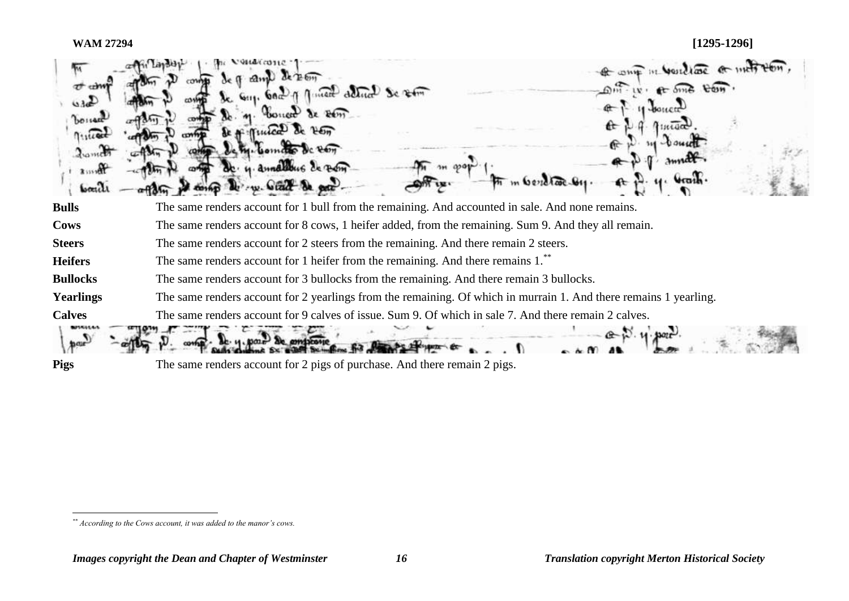| dumen<br><b>boach</b> | of one in would are or intribution<br>Am de Bon<br>$6m \cdot w \cdot 6$ one con<br>GILL, GOOD of Minett deliver Se som<br>$2e$ $Pem$<br>$F_{\text{Cov}}$<br>$c$ $Pem$<br>annaletting de Bern |
|-----------------------|----------------------------------------------------------------------------------------------------------------------------------------------------------------------------------------------|
| <b>Bulls</b>          | The same renders account for 1 bull from the remaining. And accounted in sale. And none remains.                                                                                             |
| <b>Cows</b>           | The same renders account for 8 cows, 1 heifer added, from the remaining. Sum 9. And they all remain.                                                                                         |
| <b>Steers</b>         | The same renders account for 2 steers from the remaining. And there remain 2 steers.                                                                                                         |
| <b>Heifers</b>        | The same renders account for 1 heifer from the remaining. And there remains 1.                                                                                                               |
| <b>Bullocks</b>       | The same renders account for 3 bullocks from the remaining. And there remain 3 bullocks.                                                                                                     |
| <b>Yearlings</b>      | The same renders account for 2 yearlings from the remaining. Of which in murrain 1. And there remains 1 yearling.                                                                            |
| <b>Calves</b>         | The same renders account for 9 calves of issue. Sum 9. Of which in sale 7. And there remain 2 calves.                                                                                        |
| <b>Pigs</b>           | The same renders account for 2 pigs of purchase. And there remain 2 pigs.                                                                                                                    |

 $\overline{a}$ 

*<sup>\*\*</sup> According to the Cows account, it was added to the manor's cows.*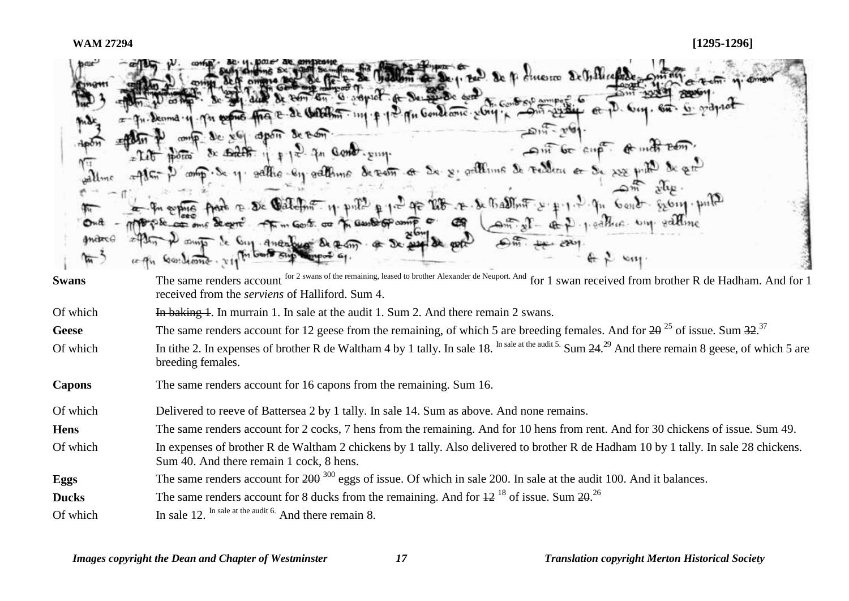| ল            | down & De. 1. Be De fi dineste De Gillicale Common<br>T. de Sal de la 26 26 Ten G. G. septer et De Bed de de la Contrat en est autres et<br>De x6 apon Seron<br>- Ant be enp. of met zem.<br>$x$ $\frac{1}{2}$ $\frac{1}{2}$ $\frac{1}{2}$ $\frac{1}{2}$ $\frac{1}{2}$ $\frac{1}{2}$ $\frac{1}{2}$ $\frac{1}{2}$ $\frac{1}{2}$ $\frac{1}{2}$ $\frac{1}{2}$ $\frac{1}{2}$ $\frac{1}{2}$<br>plan P comp. Se y sattre-ey satteme de verm a Se y settline de reden a Se sur put de gro<br>2 4 4 express parts a De Gallelin 11 public p 12 pp 28 . x 8 Ballin 1 2 p 1 2 pp 6 end extrap public<br>1967 per comme de cent et marte comp sometime of comparison and the state of the self of self and the self me<br>Gastions. 111 h book sup topos a |
|--------------|-------------------------------------------------------------------------------------------------------------------------------------------------------------------------------------------------------------------------------------------------------------------------------------------------------------------------------------------------------------------------------------------------------------------------------------------------------------------------------------------------------------------------------------------------------------------------------------------------------------------------------------------------------------------------------------------------------------------------------------------------|
| <b>Swans</b> | The same renders account for 2 swans of the remaining, leased to brother Alexander de Neuport. And for 1 swan received from brother R de Hadham. And for 1<br>received from the <i>serviens</i> of Halliford. Sum 4.                                                                                                                                                                                                                                                                                                                                                                                                                                                                                                                            |
| Of which     | In baking 1. In murrain 1. In sale at the audit 1. Sum 2. And there remain 2 swans.                                                                                                                                                                                                                                                                                                                                                                                                                                                                                                                                                                                                                                                             |
| Geese        | The same renders account for 12 geese from the remaining, of which 5 are breeding females. And for $2\theta^{25}$ of issue. Sum $32^{37}$                                                                                                                                                                                                                                                                                                                                                                                                                                                                                                                                                                                                       |
| Of which     | In tithe 2. In expenses of brother R de Waltham 4 by 1 tally. In sale 18. In sale at the audit 5. Sum 24. <sup>29</sup> And there remain 8 geese, of which 5 are<br>breeding females.                                                                                                                                                                                                                                                                                                                                                                                                                                                                                                                                                           |

**Capons** The same renders account for 16 capons from the remaining. Sum 16.

Of which Delivered to reeve of Battersea 2 by 1 tally. In sale 14. Sum as above. And none remains.

**Hens** The same renders account for 2 cocks, 7 hens from the remaining. And for 10 hens from rent. And for 30 chickens of issue. Sum 49.

Of which In expenses of brother R de Waltham 2 chickens by 1 tally. Also delivered to brother R de Hadham 10 by 1 tally. In sale 28 chickens. Sum 40. And there remain 1 cock, 8 hens.

**Eggs** The same renders account for 200<sup>300</sup> eggs of issue. Of which in sale 200. In sale at the audit 100. And it balances.

**Ducks** The same renders account for 8 ducks from the remaining. And for  $\frac{12^{18}}{2^{18}}$  of issue. Sum  $\frac{20^{26}}{2^{18}}$ 

Of which In sale 12. In sale at the audit 6. And there remain 8.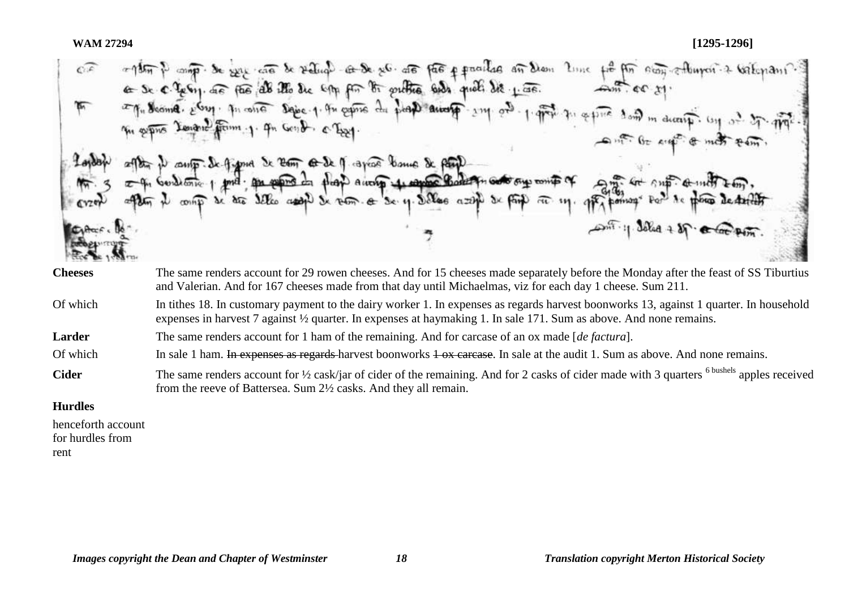| $C =$               | a 1857 P compo de exige cara de vedicol de de se G de partir a providad an diam lime<br>fit for easy enterprise valenant.<br>$40.60 \times 11$<br>ago Mesma. El m. quanto sabe 1. que estre du plas anos 17 214 02.<br>1. grow to separa down m decay. Con or it is grown<br>In series Tenand from 1. In Good. o Eggy. |
|---------------------|------------------------------------------------------------------------------------------------------------------------------------------------------------------------------------------------------------------------------------------------------------------------------------------------------------------------|
| 620                 | out the air of most com.<br>efter it soup. Se figure Se Ress co-Se f rapide bound & parte<br>often booking por part of the parties of the p aware to the company of the part of the subject of the second to the second the second section of second sec                                                               |
| Cythere. 16<br>$-4$ | som : 1 dolar + of a foot poin.                                                                                                                                                                                                                                                                                        |
| <b>Cheeses</b>      | The same renders account for 29 rowen cheeses. And for 15 cheeses made separately before the Monday after the feast of SS Tiburtius<br>and Valerian. And for 167 cheeses made from that day until Michaelmas, viz for each day 1 cheese. Sum 211.                                                                      |

Of which In tithes 18. In customary payment to the dairy worker 1. In expenses as regards harvest boonworks 13, against 1 quarter. In household expenses in harvest 7 against ½ quarter. In expenses at haymaking 1. In sale 171. Sum as above. And none remains.

Larder The same renders account for 1 ham of the remaining. And for carcase of an ox made [*de factura*].

Of which In sale 1 ham. In expenses as regards harvest boonworks 1 ox carcase. In sale at the audit 1. Sum as above. And none remains.

Cider The same renders account for <sup>1/2</sup> cask/jar of cider of the remaining. And for 2 casks of cider made with 3 quarters <sup>6 bushels</sup> apples received from the reeve of Battersea. Sum 2½ casks. And they all remain.

**Hurdles** 

henceforth account for hurdles from rent